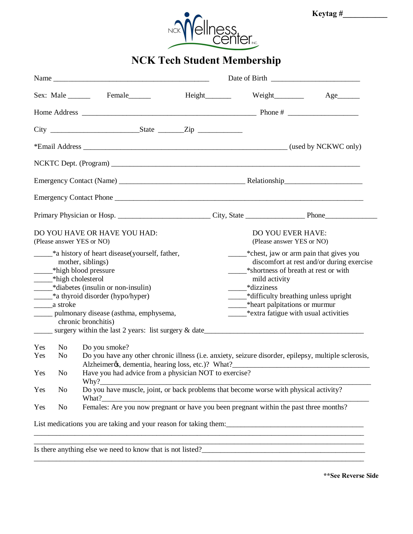

## **NCK Tech Student Membership**

|                                                                                                                                                                                                                                                                                                                                                           |                                  | Sex: Male Female                                                                                                                                                                                                                                                                                                                     | Height________ |                                                                                                                                                                                                                                                                                       | $Age$ <sub>_________</sub> |  |
|-----------------------------------------------------------------------------------------------------------------------------------------------------------------------------------------------------------------------------------------------------------------------------------------------------------------------------------------------------------|----------------------------------|--------------------------------------------------------------------------------------------------------------------------------------------------------------------------------------------------------------------------------------------------------------------------------------------------------------------------------------|----------------|---------------------------------------------------------------------------------------------------------------------------------------------------------------------------------------------------------------------------------------------------------------------------------------|----------------------------|--|
|                                                                                                                                                                                                                                                                                                                                                           |                                  |                                                                                                                                                                                                                                                                                                                                      |                |                                                                                                                                                                                                                                                                                       |                            |  |
|                                                                                                                                                                                                                                                                                                                                                           |                                  |                                                                                                                                                                                                                                                                                                                                      |                |                                                                                                                                                                                                                                                                                       |                            |  |
|                                                                                                                                                                                                                                                                                                                                                           |                                  |                                                                                                                                                                                                                                                                                                                                      |                |                                                                                                                                                                                                                                                                                       |                            |  |
|                                                                                                                                                                                                                                                                                                                                                           |                                  |                                                                                                                                                                                                                                                                                                                                      |                |                                                                                                                                                                                                                                                                                       |                            |  |
|                                                                                                                                                                                                                                                                                                                                                           |                                  |                                                                                                                                                                                                                                                                                                                                      |                |                                                                                                                                                                                                                                                                                       |                            |  |
|                                                                                                                                                                                                                                                                                                                                                           |                                  |                                                                                                                                                                                                                                                                                                                                      |                |                                                                                                                                                                                                                                                                                       |                            |  |
|                                                                                                                                                                                                                                                                                                                                                           |                                  |                                                                                                                                                                                                                                                                                                                                      |                |                                                                                                                                                                                                                                                                                       |                            |  |
| DO YOU HAVE OR HAVE YOU HAD:<br>(Please answer YES or NO)                                                                                                                                                                                                                                                                                                 |                                  |                                                                                                                                                                                                                                                                                                                                      |                | DO YOU EVER HAVE:<br>(Please answer YES or NO)                                                                                                                                                                                                                                        |                            |  |
| ____*a history of heart disease(yourself, father,<br>mother, siblings)<br>_______*high blood pressure<br>______*high cholesterol<br>$*$ diabetes (insulin or non-insulin)<br>a thyroid disorder (hypo/hyper)<br>______ pulmonary disease (asthma, emphysema,<br>chronic bronchitis)<br>$\frac{1}{2}$ surgery within the last 2 years: list surgery & date |                                  |                                                                                                                                                                                                                                                                                                                                      |                | -* chest, jaw or arm pain that gives you<br>discomfort at rest and/or during exercise<br>*shortness of breath at rest or with<br>mild activity<br>*dizziness<br>-*difficulty breathing unless upright<br>*heart palpitations or murmur<br>_______*extra fatigue with usual activities |                            |  |
| Yes<br>Yes<br>Yes<br>Yes                                                                                                                                                                                                                                                                                                                                  | No<br>N <sub>0</sub><br>No<br>No | Do you smoke?<br>Do you have any other chronic illness (i.e. anxiety, seizure disorder, epilepsy, multiple sclerosis,<br>Alzheimeros, dementia, hearing loss, etc.)? What?<br>Have you had advice from a physician NOT to exercise?<br>Why?<br>Do you have muscle, joint, or back problems that become worse with physical activity? |                |                                                                                                                                                                                                                                                                                       |                            |  |
| Yes                                                                                                                                                                                                                                                                                                                                                       | No                               | What?<br>What?<br>Females: Are you now pregnant or have you been pregnant within the past three months?                                                                                                                                                                                                                              |                |                                                                                                                                                                                                                                                                                       |                            |  |
|                                                                                                                                                                                                                                                                                                                                                           |                                  | List medications you are taking and your reason for taking them:                                                                                                                                                                                                                                                                     |                | <u> 1989 - Johann Barn, mars ann an t-Amhainn an t-Amhainn an t-Amhainn an t-Amhainn an t-Amhainn an t-Amhainn an </u>                                                                                                                                                                |                            |  |
|                                                                                                                                                                                                                                                                                                                                                           |                                  | $\frac{1}{2}$                                                                                                                                                                                                                                                                                                                        |                |                                                                                                                                                                                                                                                                                       |                            |  |

\_\_\_\_\_\_\_\_\_\_\_\_\_\_\_\_\_\_\_\_\_\_\_\_\_\_\_\_\_\_\_\_\_\_\_\_\_\_\_\_\_\_\_\_\_\_\_\_\_\_\_\_\_\_\_\_\_\_\_\_\_\_\_\_\_\_\_\_\_\_\_\_\_\_\_\_\_\_\_\_\_\_\_\_\_\_\_\_\_

Is there anything else we need to know that is not listed?

**\*\*See Reverse Side**